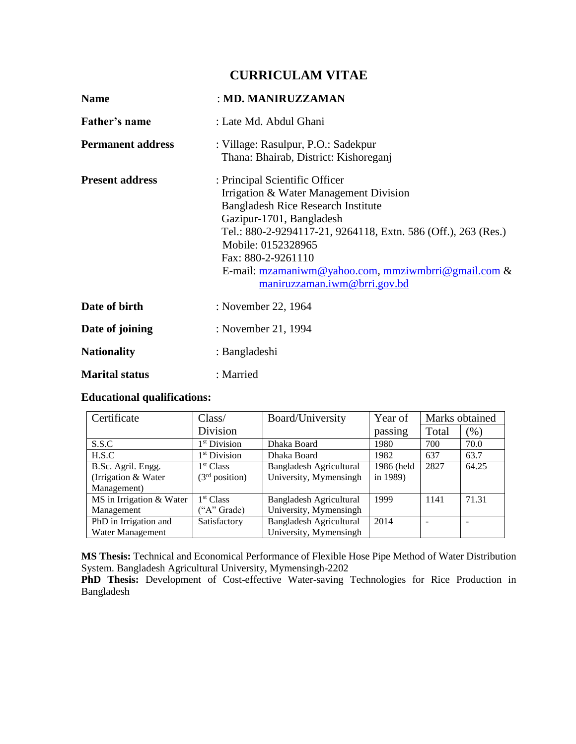# **CURRICULAM VITAE**

| <b>Name</b>              | : MD. MANIRUZZAMAN                                                                                                                                                                                                                                                                                                                                                                          |
|--------------------------|---------------------------------------------------------------------------------------------------------------------------------------------------------------------------------------------------------------------------------------------------------------------------------------------------------------------------------------------------------------------------------------------|
| Father's name            | : Late Md. Abdul Ghani                                                                                                                                                                                                                                                                                                                                                                      |
| <b>Permanent address</b> | : Village: Rasulpur, P.O.: Sadekpur<br>Thana: Bhairab, District: Kishoreganj                                                                                                                                                                                                                                                                                                                |
| <b>Present address</b>   | : Principal Scientific Officer<br>Irrigation & Water Management Division<br><b>Bangladesh Rice Research Institute</b><br>Gazipur-1701, Bangladesh<br>Tel.: 880-2-9294117-21, 9264118, Extn. 586 (Off.), 263 (Res.)<br>Mobile: 0152328965<br>Fax: 880-2-9261110<br>E-mail: $\frac{mz}{mz}$ mail: $\frac{mz}{mz}$ mail: $\frac{mz}{mz}$ mail: $\frac{mz}{mz}$<br>maniruzzaman.iwm@brri.gov.bd |
| Date of birth            | : November 22, 1964                                                                                                                                                                                                                                                                                                                                                                         |
| Date of joining          | : November 21, 1994                                                                                                                                                                                                                                                                                                                                                                         |
| <b>Nationality</b>       | : Bangladeshi                                                                                                                                                                                                                                                                                                                                                                               |
| <b>Marital status</b>    | : Married                                                                                                                                                                                                                                                                                                                                                                                   |

## **Educational qualifications:**

| Certificate              | Class/                     | Board/University               | Year of    | Marks obtained |        |
|--------------------------|----------------------------|--------------------------------|------------|----------------|--------|
|                          | Division                   |                                | passing    | Total          | $(\%)$ |
| S.S.C                    | 1 <sup>st</sup> Division   | Dhaka Board                    | 1980       | 700            | 70.0   |
| H.S.C                    | 1 <sup>st</sup> Division   | Dhaka Board                    | 1982       | 637            | 63.7   |
| B.Sc. Agril. Engg.       | 1 <sup>st</sup> Class      | <b>Bangladesh Agricultural</b> | 1986 (held | 2827           | 64.25  |
| (Irrigation & Water)     | (3 <sup>rd</sup> position) | University, Mymensingh         | in 1989)   |                |        |
| Management)              |                            |                                |            |                |        |
| MS in Irrigation & Water | 1 <sup>st</sup> Class      | <b>Bangladesh Agricultural</b> | 1999       | 1141           | 71.31  |
| Management               | ("A" Grade)                | University, Mymensingh         |            |                |        |
| PhD in Irrigation and    | Satisfactory               | <b>Bangladesh Agricultural</b> | 2014       |                |        |
| Water Management         |                            | University, Mymensingh         |            |                |        |

**MS Thesis:** Technical and Economical Performance of Flexible Hose Pipe Method of Water Distribution System. Bangladesh Agricultural University, Mymensingh-2202

**PhD Thesis:** Development of Cost-effective Water-saving Technologies for Rice Production in Bangladesh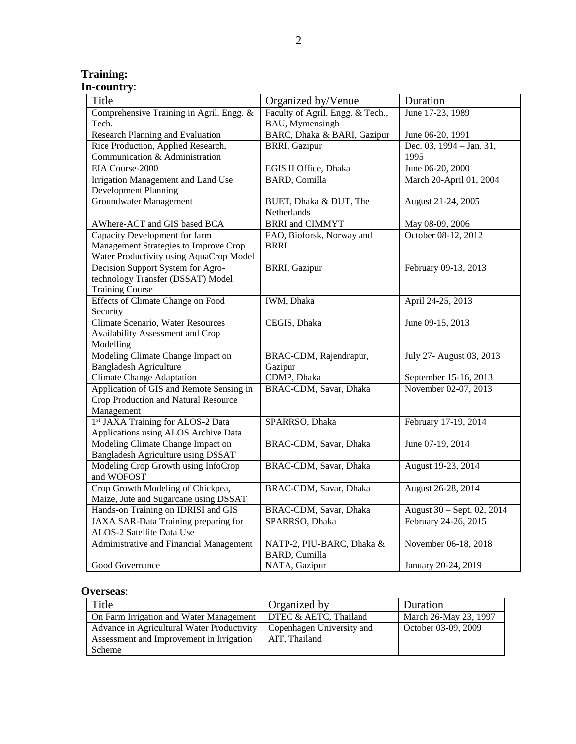## **Training: In-country**:

| Title                                    | Organized by/Venue               | Duration                   |
|------------------------------------------|----------------------------------|----------------------------|
| Comprehensive Training in Agril. Engg. & | Faculty of Agril. Engg. & Tech., | June 17-23, 1989           |
| Tech.                                    | BAU, Mymensingh                  |                            |
| <b>Research Planning and Evaluation</b>  | BARC, Dhaka & BARI, Gazipur      | June 06-20, 1991           |
| Rice Production, Applied Research,       | <b>BRRI, Gazipur</b>             | Dec. 03, 1994 - Jan. 31,   |
| Communication & Administration           |                                  | 1995                       |
| EIA Course-2000                          | EGIS II Office, Dhaka            | June 06-20, 2000           |
| Irrigation Management and Land Use       | <b>BARD, Comilla</b>             | March 20-April 01, 2004    |
| <b>Development Planning</b>              |                                  |                            |
| <b>Groundwater Management</b>            | BUET, Dhaka & DUT, The           | August 21-24, 2005         |
|                                          | Netherlands                      |                            |
| AWhere-ACT and GIS based BCA             | <b>BRRI</b> and <b>CIMMYT</b>    | May 08-09, 2006            |
| Capacity Development for farm            | FAO, Bioforsk, Norway and        | October 08-12, 2012        |
| Management Strategies to Improve Crop    | <b>BRRI</b>                      |                            |
| Water Productivity using AquaCrop Model  |                                  |                            |
| Decision Support System for Agro-        | <b>BRRI</b> , Gazipur            | February 09-13, 2013       |
| technology Transfer (DSSAT) Model        |                                  |                            |
| <b>Training Course</b>                   |                                  |                            |
| <b>Effects of Climate Change on Food</b> | IWM, Dhaka                       | April 24-25, 2013          |
| Security                                 |                                  |                            |
| Climate Scenario, Water Resources        | CEGIS, Dhaka                     | June 09-15, 2013           |
| Availability Assessment and Crop         |                                  |                            |
| Modelling                                |                                  |                            |
| Modeling Climate Change Impact on        | BRAC-CDM, Rajendrapur,           | July 27- August 03, 2013   |
| <b>Bangladesh Agriculture</b>            | Gazipur                          |                            |
| <b>Climate Change Adaptation</b>         | CDMP, Dhaka                      | September 15-16, 2013      |
| Application of GIS and Remote Sensing in | BRAC-CDM, Savar, Dhaka           | November 02-07, 2013       |
| Crop Production and Natural Resource     |                                  |                            |
| Management                               |                                  |                            |
| 1st JAXA Training for ALOS-2 Data        | SPARRSO, Dhaka                   | February 17-19, 2014       |
| Applications using ALOS Archive Data     |                                  |                            |
| Modeling Climate Change Impact on        | BRAC-CDM, Savar, Dhaka           | June 07-19, 2014           |
| Bangladesh Agriculture using DSSAT       |                                  |                            |
| Modeling Crop Growth using InfoCrop      | BRAC-CDM, Savar, Dhaka           | August 19-23, 2014         |
| and WOFOST                               |                                  |                            |
| Crop Growth Modeling of Chickpea,        | BRAC-CDM, Savar, Dhaka           | August 26-28, 2014         |
| Maize, Jute and Sugarcane using DSSAT    |                                  |                            |
| Hands-on Training on IDRISI and GIS      | BRAC-CDM, Savar, Dhaka           | August 30 - Sept. 02, 2014 |
| JAXA SAR-Data Training preparing for     | SPARRSO, Dhaka                   | February 24-26, 2015       |
| ALOS-2 Satellite Data Use                |                                  |                            |
| Administrative and Financial Management  | NATP-2, PIU-BARC, Dhaka &        | November 06-18, 2018       |
|                                          | <b>BARD, Cumilla</b>             |                            |
| Good Governance                          | NATA, Gazipur                    | January 20-24, 2019        |

## **Overseas**:

| Title                                                                                                              | Organized by          | Duration              |
|--------------------------------------------------------------------------------------------------------------------|-----------------------|-----------------------|
| On Farm Irrigation and Water Management                                                                            | DTEC & AETC, Thailand | March 26-May 23, 1997 |
| Advance in Agricultural Water Productivity   Copenhagen University and<br>Assessment and Improvement in Irrigation | AIT. Thailand         | October 03-09, 2009   |
| Scheme                                                                                                             |                       |                       |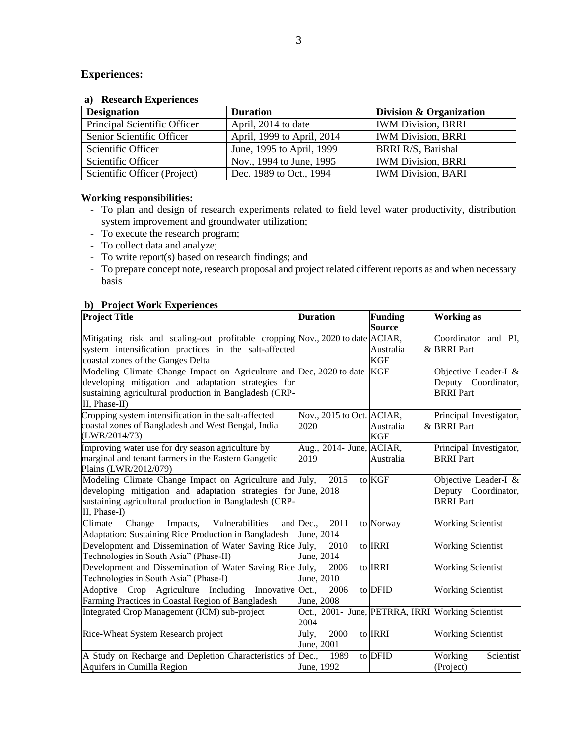## **Experiences:**

### **a) Research Experiences**

| <b>Designation</b>           | <b>Duration</b>            | Division & Organization   |
|------------------------------|----------------------------|---------------------------|
| Principal Scientific Officer | April, 2014 to date        | <b>IWM Division, BRRI</b> |
| Senior Scientific Officer    | April, 1999 to April, 2014 | <b>IWM Division, BRRI</b> |
| Scientific Officer           | June, 1995 to April, 1999  | BRRI R/S, Barishal        |
| Scientific Officer           | Nov., 1994 to June, 1995   | <b>IWM Division, BRRI</b> |
| Scientific Officer (Project) | Dec. 1989 to Oct., 1994    | <b>IWM Division, BARI</b> |

### **Working responsibilities:**

- To plan and design of research experiments related to field level water productivity, distribution system improvement and groundwater utilization;
- To execute the research program;
- To collect data and analyze;
- To write report(s) based on research findings; and
- To prepare concept note, research proposal and project related different reports as and when necessary basis

## **b) Project Work Experiences**

| <b>Project Title</b>                                                             | <b>Duration</b>                                   | <b>Funding</b> | <b>Working as</b>                           |
|----------------------------------------------------------------------------------|---------------------------------------------------|----------------|---------------------------------------------|
|                                                                                  |                                                   | <b>Source</b>  |                                             |
| Mitigating risk and scaling-out profitable cropping Nov., 2020 to date ACIAR,    |                                                   |                | Coordinator and PI,                         |
| system intensification practices in the salt-affected                            |                                                   | Australia      | & BRRI Part                                 |
| coastal zones of the Ganges Delta                                                |                                                   | <b>KGF</b>     |                                             |
| Modeling Climate Change Impact on Agriculture and Dec, 2020 to date              |                                                   | <b>KGF</b>     | Objective Leader-I &                        |
| developing mitigation and adaptation strategies for                              |                                                   |                | Deputy Coordinator,                         |
| sustaining agricultural production in Bangladesh (CRP-                           |                                                   |                | <b>BRRI</b> Part                            |
| II, Phase-II)                                                                    |                                                   |                |                                             |
| Cropping system intensification in the salt-affected                             | Nov., 2015 to Oct. ACIAR,                         |                | Principal Investigator,                     |
| coastal zones of Bangladesh and West Bengal, India                               | 2020                                              | Australia      | & BRRI Part                                 |
| (LWR/2014/73)                                                                    |                                                   | <b>KGF</b>     |                                             |
| Improving water use for dry season agriculture by                                | Aug., 2014- June, ACIAR,                          |                | Principal Investigator,                     |
| marginal and tenant farmers in the Eastern Gangetic                              | 2019                                              | Australia      | <b>BRRI</b> Part                            |
| Plains (LWR/2012/079)<br>Modeling Climate Change Impact on Agriculture and July, | 2015                                              | to KGF         |                                             |
| developing mitigation and adaptation strategies for June, 2018                   |                                                   |                | Objective Leader-I &<br>Deputy Coordinator, |
| sustaining agricultural production in Bangladesh (CRP-                           |                                                   |                | <b>BRRI</b> Part                            |
| II, Phase-I)                                                                     |                                                   |                |                                             |
| Climate<br>Vulnerabilities<br>Change<br>Impacts,                                 | and Dec.,<br>2011                                 | to Norway      | <b>Working Scientist</b>                    |
| Adaptation: Sustaining Rice Production in Bangladesh                             | June, 2014                                        |                |                                             |
| Development and Dissemination of Water Saving Rice July,                         | 2010                                              | to <b>IRRI</b> | <b>Working Scientist</b>                    |
| Technologies in South Asia" (Phase-II)                                           | June, 2014                                        |                |                                             |
| Development and Dissemination of Water Saving Rice July,                         | 2006                                              | to IRRI        | <b>Working Scientist</b>                    |
| Technologies in South Asia" (Phase-I)                                            | June, 2010                                        |                |                                             |
| Adoptive Crop Agriculture Including Innovative Oct.,                             | 2006                                              | to DFID        | <b>Working Scientist</b>                    |
| Farming Practices in Coastal Region of Bangladesh                                | June, 2008                                        |                |                                             |
| Integrated Crop Management (ICM) sub-project                                     | Oct., 2001 - June, PETRRA, IRRI Working Scientist |                |                                             |
|                                                                                  | 2004                                              |                |                                             |
| Rice-Wheat System Research project                                               | 2000<br>July,                                     | to IRRI        | <b>Working Scientist</b>                    |
|                                                                                  | June, 2001                                        |                |                                             |
| A Study on Recharge and Depletion Characteristics of Dec.,                       | 1989                                              | to DFID        | Scientist<br>Working                        |
| Aquifers in Cumilla Region                                                       | June, 1992                                        |                | (Project)                                   |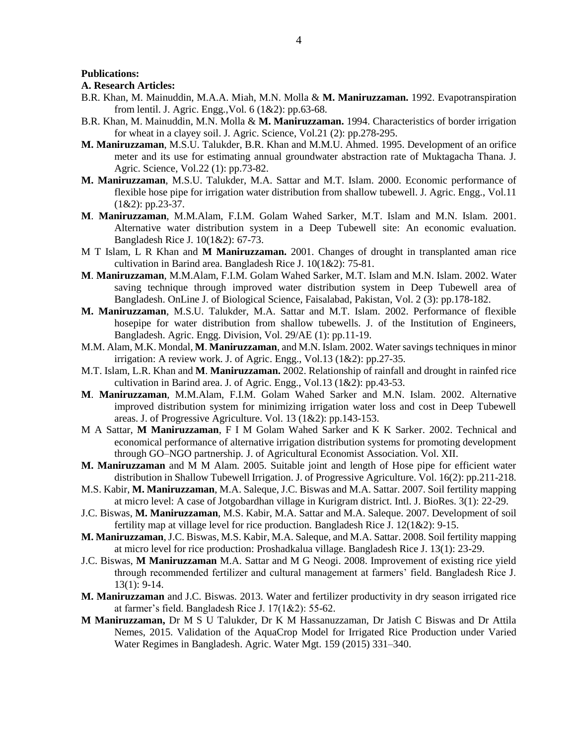#### **Publications:**

### **A. Research Articles:**

- B.R. Khan, M. Mainuddin, M.A.A. Miah, M.N. Molla & **M. Maniruzzaman.** 1992. Evapotranspiration from lentil. J. Agric. Engg.,Vol. 6 (1&2): pp.63-68.
- B.R. Khan, M. Mainuddin, M.N. Molla & **M. Maniruzzaman.** 1994. Characteristics of border irrigation for wheat in a clayey soil. J. Agric. Science, Vol.21 (2): pp.278-295.
- **M. Maniruzzaman**, M.S.U. Talukder, B.R. Khan and M.M.U. Ahmed. 1995. Development of an orifice meter and its use for estimating annual groundwater abstraction rate of Muktagacha Thana. J. Agric. Science, Vol.22 (1): pp.73-82.
- **M. Maniruzzaman**, M.S.U. Talukder, M.A. Sattar and M.T. Islam. 2000. Economic performance of flexible hose pipe for irrigation water distribution from shallow tubewell. J. Agric. Engg., Vol.11  $(1&2): pp.23-37.$
- **M**. **Maniruzzaman**, M.M.Alam, F.I.M. Golam Wahed Sarker, M.T. Islam and M.N. Islam. 2001. Alternative water distribution system in a Deep Tubewell site: An economic evaluation. Bangladesh Rice J. 10(1&2): 67-73.
- M T Islam, L R Khan and **M Maniruzzaman.** 2001. Changes of drought in transplanted aman rice cultivation in Barind area. Bangladesh Rice J. 10(1&2): 75-81.
- **M**. **Maniruzzaman**, M.M.Alam, F.I.M. Golam Wahed Sarker, M.T. Islam and M.N. Islam. 2002. Water saving technique through improved water distribution system in Deep Tubewell area of Bangladesh. OnLine J. of Biological Science, Faisalabad, Pakistan, Vol. 2 (3): pp.178-182.
- **M. Maniruzzaman**, M.S.U. Talukder, M.A. Sattar and M.T. Islam. 2002. Performance of flexible hosepipe for water distribution from shallow tubewells. J. of the Institution of Engineers, Bangladesh. Agric. Engg. Division, Vol. 29/AE (1): pp.11-19.
- M.M. Alam, M.K. Mondal, **M**. **Maniruzzaman**, and M.N. Islam. 2002. Water savings techniques in minor irrigation: A review work. J. of Agric. Engg., Vol.13 (1&2): pp.27-35.
- M.T. Islam, L.R. Khan and **M**. **Maniruzzaman.** 2002. Relationship of rainfall and drought in rainfed rice cultivation in Barind area. J. of Agric. Engg., Vol.13 (1&2): pp.43-53.
- **M**. **Maniruzzaman**, M.M.Alam, F.I.M. Golam Wahed Sarker and M.N. Islam. 2002. Alternative improved distribution system for minimizing irrigation water loss and cost in Deep Tubewell areas. J. of Progressive Agriculture. Vol. 13 (1&2): pp.143-153.
- M A Sattar, **M Maniruzzaman**, F I M Golam Wahed Sarker and K K Sarker. 2002. Technical and economical performance of alternative irrigation distribution systems for promoting development through GO–NGO partnership. J. of Agricultural Economist Association. Vol. XII.
- **M. Maniruzzaman** and M M Alam. 2005. Suitable joint and length of Hose pipe for efficient water distribution in Shallow Tubewell Irrigation. J. of Progressive Agriculture. Vol. 16(2): pp.211-218.
- M.S. Kabir, **M. Maniruzzaman**, M.A. Saleque, J.C. Biswas and M.A. Sattar. 2007. Soil fertility mapping at micro level: A case of Jotgobardhan village in Kurigram district. Intl. J. BioRes. 3(1): 22-29.
- J.C. Biswas, **M. Maniruzzaman**, M.S. Kabir, M.A. Sattar and M.A. Saleque. 2007. Development of soil fertility map at village level for rice production. Bangladesh Rice J. 12(1&2): 9-15.
- **M. Maniruzzaman**, J.C. Biswas, M.S. Kabir, M.A. Saleque, and M.A. Sattar. 2008. Soil fertility mapping at micro level for rice production: Proshadkalua village. Bangladesh Rice J. 13(1): 23-29.
- J.C. Biswas, **M Maniruzzaman** M.A. Sattar and M G Neogi. 2008. Improvement of existing rice yield through recommended fertilizer and cultural management at farmers' field. Bangladesh Rice J. 13(1): 9-14.
- **M. Maniruzzaman** and J.C. Biswas. 2013. Water and fertilizer productivity in dry season irrigated rice at farmer's field. Bangladesh Rice J. 17(1&2): 55-62.
- **M Maniruzzaman,** Dr M S U Talukder, Dr K M Hassanuzzaman, Dr Jatish C Biswas and Dr Attila Nemes, 2015. Validation of the AquaCrop Model for Irrigated Rice Production under Varied Water Regimes in Bangladesh. Agric. Water Mgt. 159 (2015) 331–340.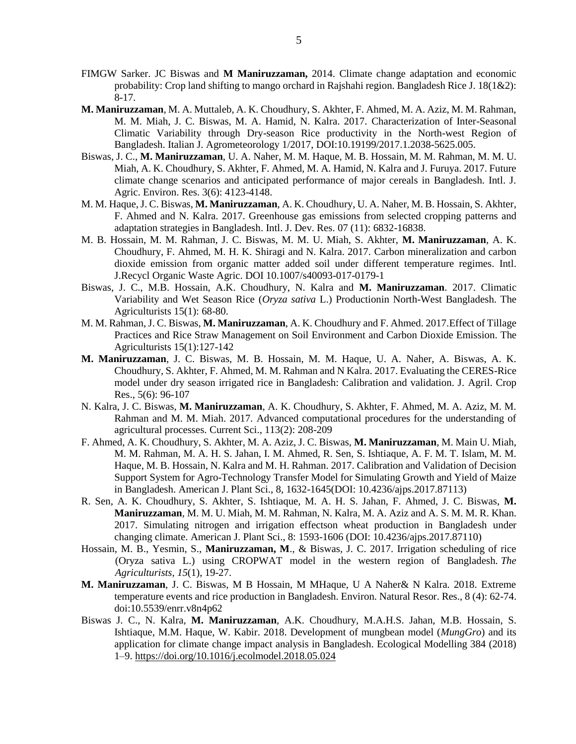- FIMGW Sarker. JC Biswas and **M Maniruzzaman,** 2014. Climate change adaptation and economic probability: Crop land shifting to mango orchard in Rajshahi region. Bangladesh Rice J.  $18(1&&2)$ : 8-17.
- **M. Maniruzzaman**, M. A. Muttaleb, A. K. Choudhury, S. Akhter, F. Ahmed, M. A. Aziz, M. M. Rahman, M. M. Miah, J. C. Biswas, M. A. Hamid, N. Kalra. 2017. Characterization of Inter-Seasonal Climatic Variability through Dry-season Rice productivity in the North-west Region of Bangladesh. Italian J. Agrometeorology 1/2017, DOI:10.19199/2017.1.2038-5625.005.
- Biswas, J. C., **M. Maniruzzaman**, U. A. Naher, M. M. Haque, M. B. Hossain, M. M. Rahman, M. M. U. Miah, A. K. Choudhury, S. Akhter, F. Ahmed, M. A. Hamid, N. Kalra and J. Furuya. 2017. Future climate change scenarios and anticipated performance of major cereals in Bangladesh. Intl. J. Agric. Environ. Res. 3(6): 4123-4148.
- M. M. Haque, J. C. Biswas, **M. Maniruzzaman**, A. K. Choudhury, U. A. Naher, M. B. Hossain, S. Akhter, F. Ahmed and N. Kalra. 2017. Greenhouse gas emissions from selected cropping patterns and adaptation strategies in Bangladesh. Intl. J. Dev. Res. 07 (11): 6832-16838.
- M. B. Hossain, M. M. Rahman, J. C. Biswas, M. M. U. Miah, S. Akhter, **M. Maniruzzaman**, A. K. Choudhury, F. Ahmed, M. H. K. Shiragi and N. Kalra. 2017. Carbon mineralization and carbon dioxide emission from organic matter added soil under different temperature regimes. Intl. J.Recycl Organic Waste Agric. DOI 10.1007/s40093-017-0179-1
- Biswas, J. C., M.B. Hossain, A.K. Choudhury, N. Kalra and **M. Maniruzzaman**. 2017. Climatic Variability and Wet Season Rice (*Oryza sativa* L.) Productionin North-West Bangladesh. The Agriculturists 15(1): 68-80.
- M. M. Rahman, J. C. Biswas, **M. Maniruzzaman**, A. K. Choudhury and F. Ahmed. 2017.Effect of Tillage Practices and Rice Straw Management on Soil Environment and Carbon Dioxide Emission. The Agriculturists 15(1):127-142
- **M. Maniruzzaman**, J. C. Biswas, M. B. Hossain, M. M. Haque, U. A. Naher, A. Biswas, A. K. Choudhury, S. Akhter, F. Ahmed, M. M. Rahman and N Kalra. 2017. Evaluating the CERES-Rice model under dry season irrigated rice in Bangladesh: Calibration and validation. J. Agril. Crop Res., 5(6): 96-107
- N. Kalra, J. C. Biswas, **M. Maniruzzaman**, A. K. Choudhury, S. Akhter, F. Ahmed, M. A. Aziz, M. M. Rahman and M. M. Miah. 2017. Advanced computational procedures for the understanding of agricultural processes. Current Sci., 113(2): 208-209
- F. Ahmed, A. K. Choudhury, S. Akhter, M. A. Aziz, J. C. Biswas, **M. Maniruzzaman**, M. Main U. Miah, M. M. Rahman, M. A. H. S. Jahan, I. M. Ahmed, R. Sen, S. Ishtiaque, A. F. M. T. Islam, M. M. Haque, M. B. Hossain, N. Kalra and M. H. Rahman. 2017. Calibration and Validation of Decision Support System for Agro-Technology Transfer Model for Simulating Growth and Yield of Maize in Bangladesh. American J. Plant Sci., 8, 1632-1645(DOI: 10.4236/ajps.2017.87113)
- R. Sen, A. K. Choudhury, S. Akhter, S. Ishtiaque, M. A. H. S. Jahan, F. Ahmed, J. C. Biswas, **M. Maniruzzaman**, M. M. U. Miah, M. M. Rahman, N. Kalra, M. A. Aziz and A. S. M. M. R. Khan. 2017. Simulating nitrogen and irrigation effectson wheat production in Bangladesh under changing climate. American J. Plant Sci., 8: 1593-1606 (DOI: 10.4236/ajps.2017.87110)
- Hossain, M. B., Yesmin, S., **Maniruzzaman, M**., & Biswas, J. C. 2017. Irrigation scheduling of rice (Oryza sativa L.) using CROPWAT model in the western region of Bangladesh. *The Agriculturists*, *15*(1), 19-27.
- **M. Maniruzzaman**, J. C. Biswas, M B Hossain, M MHaque, U A Naher& N Kalra. 2018. Extreme temperature events and rice production in Bangladesh. Environ. Natural Resor. Res., 8 (4): 62-74. doi:10.5539/enrr.v8n4p62
- Biswas J. C., N. Kalra, **M. Maniruzzaman**, A.K. Choudhury, M.A.H.S. Jahan, M.B. Hossain, S. Ishtiaque, M.M. Haque, W. Kabir. 2018. Development of mungbean model (*MungGro*) and its application for climate change impact analysis in Bangladesh. Ecological Modelling 384 (2018) 1–9.<https://doi.org/10.1016/j.ecolmodel.2018.05.024>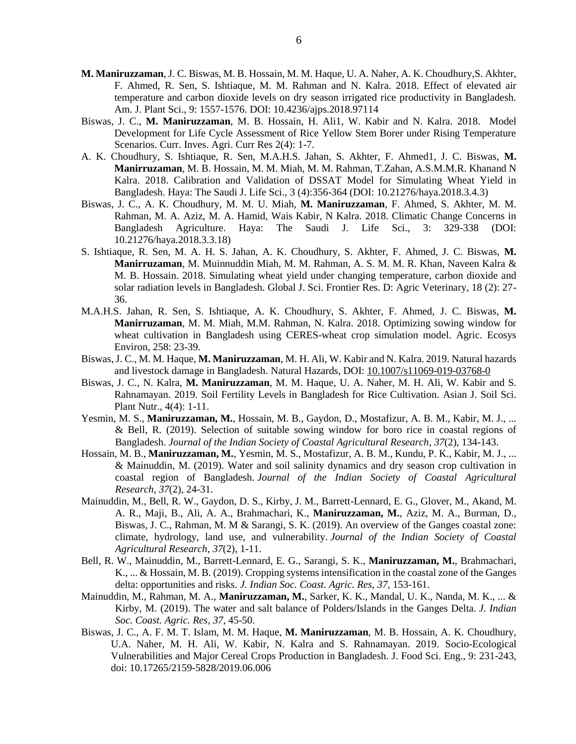- **M. Maniruzzaman**, J. C. Biswas, M. B. Hossain, M. M. Haque, U. A. Naher, A. K. Choudhury,S. Akhter, F. Ahmed, R. Sen, S. Ishtiaque, M. M. Rahman and N. Kalra. 2018. Effect of elevated air temperature and carbon dioxide levels on dry season irrigated rice productivity in Bangladesh. Am. J. Plant Sci., 9: 1557-1576. DOI: 10.4236/ajps.2018.97114
- Biswas, J. C., **M. Maniruzzaman**, M. B. Hossain, H. Ali1, W. Kabir and N. Kalra. 2018. Model Development for Life Cycle Assessment of Rice Yellow Stem Borer under Rising Temperature Scenarios. Curr. Inves. Agri. Curr Res 2(4): 1-7.
- A. K. Choudhury, S. Ishtiaque, R. Sen, M.A.H.S. Jahan, S. Akhter, F. Ahmed1, J. C. Biswas, **M. Manirruzaman**, M. B. Hossain, M. M. Miah, M. M. Rahman, T.Zahan, A.S.M.M.R. Khanand N Kalra. 2018. Calibration and Validation of DSSAT Model for Simulating Wheat Yield in Bangladesh. Haya: The Saudi J. Life Sci., 3 (4):356-364 (DOI: 10.21276/haya.2018.3.4.3)
- Biswas, J. C., A. K. Choudhury, M. M. U. Miah, **M. Maniruzzaman**, F. Ahmed, S. Akhter, M. M. Rahman, M. A. Aziz, M. A. Hamid, Wais Kabir, N Kalra. 2018. Climatic Change Concerns in Bangladesh Agriculture. Haya: The Saudi J. Life Sci., 3: 329-338 (DOI: 10.21276/haya.2018.3.3.18)
- S. Ishtiaque, R. Sen, M. A. H. S. Jahan, A. K. Choudhury, S. Akhter, F. Ahmed, J. C. Biswas, **M. Manirruzaman**, M. Muinnuddin Miah, M. M. Rahman, A. S. M. M. R. Khan, Naveen Kalra & M. B. Hossain. 2018. Simulating wheat yield under changing temperature, carbon dioxide and solar radiation levels in Bangladesh. Global J. Sci. Frontier Res. D: Agric Veterinary, 18 (2): 27- 36.
- M.A.H.S. Jahan, R. Sen, S. Ishtiaque, A. K. Choudhury, S. Akhter, F. Ahmed, J. C. Biswas, **M. Manirruzaman**, M. M. Miah, M.M. Rahman, N. Kalra. 2018. Optimizing sowing window for wheat cultivation in Bangladesh using CERES-wheat crop simulation model. Agric. Ecosys Environ, 258: 23-39.
- Biswas, J. C., M. M. Haque, **M. Maniruzzaman**, M. H. Ali, W. Kabir and N. Kalra. 2019. Natural hazards and livestock damage in Bangladesh. Natural Hazards, DOI: [10.1007/s11069-019-03768-0](https://www.researchgate.net/deref/http%3A%2F%2Fdx.doi.org%2F10.1007%2Fs11069-019-03768-0?_sg%5B0%5D=kIFYVXJ9bFyita3F6NimPmqZYfDYXMxEQFgAXwTNsfhV_uX3CHlMKZIS69jzsSMkOWAXp9mmvQsN-okgtb85h-HlhQ.x9ec7WqCSrc3PYtBq2y8U8u55CkUPD2T71NDJONlqKJUzLF1GfjeF1efaoGOMAB4AKbWvePHSpVDCTJCcYejOQ)
- Biswas, J. C., N. Kalra, **M. Maniruzzaman**, M. M. Haque, U. A. Naher, M. H. Ali, W. Kabir and S. Rahnamayan. 2019. Soil Fertility Levels in Bangladesh for Rice Cultivation. Asian J. Soil Sci. Plant Nutr., 4(4): 1-11.
- Yesmin, M. S., **Maniruzzaman, M.**, Hossain, M. B., Gaydon, D., Mostafizur, A. B. M., Kabir, M. J., ... & Bell, R. (2019). Selection of suitable sowing window for boro rice in coastal regions of Bangladesh. *Journal of the Indian Society of Coastal Agricultural Research*, *37*(2), 134-143.
- Hossain, M. B., **Maniruzzaman, M.**, Yesmin, M. S., Mostafizur, A. B. M., Kundu, P. K., Kabir, M. J., ... & Mainuddin, M. (2019). Water and soil salinity dynamics and dry season crop cultivation in coastal region of Bangladesh. *Journal of the Indian Society of Coastal Agricultural Research*, *37*(2), 24-31.
- Mainuddin, M., Bell, R. W., Gaydon, D. S., Kirby, J. M., Barrett-Lennard, E. G., Glover, M., Akand, M. A. R., Maji, B., Ali, A. A., Brahmachari, K., **Maniruzzaman, M.**, Aziz, M. A., Burman, D., Biswas, J. C., Rahman, M. M & Sarangi, S. K. (2019). An overview of the Ganges coastal zone: climate, hydrology, land use, and vulnerability. *Journal of the Indian Society of Coastal Agricultural Research*, *37*(2), 1-11.
- Bell, R. W., Mainuddin, M., Barrett-Lennard, E. G., Sarangi, S. K., **Maniruzzaman, M.**, Brahmachari, K., ... & Hossain, M. B. (2019). Cropping systems intensification in the coastal zone of the Ganges delta: opportunities and risks. *J. Indian Soc. Coast. Agric. Res*, *37*, 153-161.
- Mainuddin, M., Rahman, M. A., **Maniruzzaman, M.**, Sarker, K. K., Mandal, U. K., Nanda, M. K., ... & Kirby, M. (2019). The water and salt balance of Polders/Islands in the Ganges Delta. *J. Indian Soc. Coast. Agric. Res*, *37*, 45-50.
- Biswas, J. C., A. F. M. T. Islam, M. M. Haque, **M. Maniruzzaman**, M. B. Hossain, A. K. Choudhury, U.A. Naher, M. H. Ali, W. Kabir, N. Kalra and S. Rahnamayan. 2019. Socio-Ecological Vulnerabilities and Major Cereal Crops Production in Bangladesh. J. Food Sci. Eng., 9: 231-243, doi: 10.17265/2159-5828/2019.06.006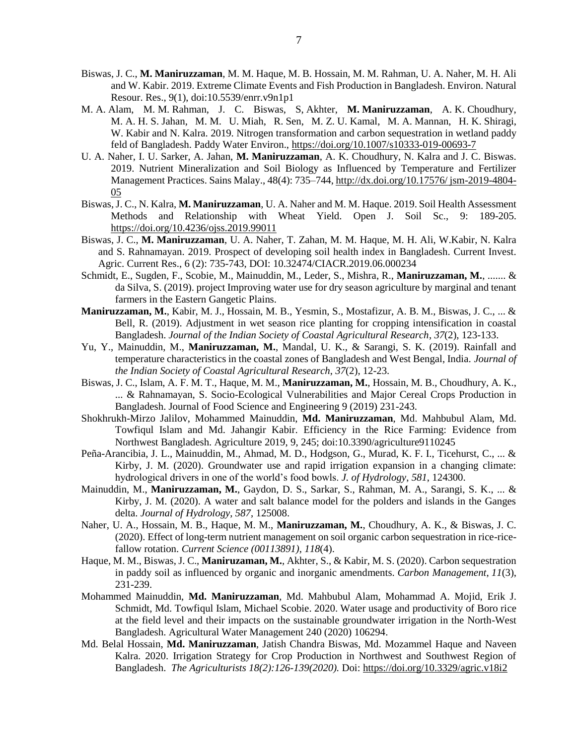- Biswas, J. C., **M. Maniruzzaman**, M. M. Haque, M. B. Hossain, M. M. Rahman, U. A. Naher, M. H. Ali and W. Kabir. 2019. Extreme Climate Events and Fish Production in Bangladesh. Environ. Natural Resour. Res., 9(1), doi:10.5539/enrr.v9n1p1
- M. A. Alam, M. M. Rahman, J. C. Biswas, S, Akhter, **M. Maniruzzaman**, A. K. Choudhury, M. A. H. S. Jahan, M. M. U. Miah, R. Sen, M. Z. U. Kamal, M. A. Mannan, H. K. Shiragi, W. Kabir and N. Kalra. 2019. Nitrogen transformation and carbon sequestration in wetland paddy feld of Bangladesh. Paddy Water Environ.,<https://doi.org/10.1007/s10333-019-00693-7>
- U. A. Naher, I. U. Sarker, A. Jahan, **M. Maniruzzaman**, A. K. Choudhury, N. Kalra and J. C. Biswas. 2019. Nutrient Mineralization and Soil Biology as Influenced by Temperature and Fertilizer Management Practices. Sains Malay., 48(4): 735–744, [http://dx.doi.org/10.17576/ jsm-2019-4804-](http://dx.doi.org/10.17576/%20jsm-2019-4804-05) [05](http://dx.doi.org/10.17576/%20jsm-2019-4804-05)
- Biswas, J. C., N. Kalra, **M. Maniruzzaman**, U. A. Naher and M. M. Haque. 2019. Soil Health Assessment Methods and Relationship with Wheat Yield. Open J. Soil Sc., 9: 189-205. <https://doi.org/10.4236/ojss.2019.99011>
- Biswas, J. C., **M. Maniruzzaman**, U. A. Naher, T. Zahan, M. M. Haque, M. H. Ali, W.Kabir, N. Kalra and S. Rahnamayan. 2019. Prospect of developing soil health index in Bangladesh. Current Invest. Agric. Current Res., 6 (2): 735-743, DOI: 10.32474/CIACR.2019.06.000234
- Schmidt, E., Sugden, F., Scobie, M., Mainuddin, M., Leder, S., Mishra, R., **Maniruzzaman, M.**, ....... & da Silva, S. (2019). project Improving water use for dry season agriculture by marginal and tenant farmers in the Eastern Gangetic Plains.
- **Maniruzzaman, M.**, Kabir, M. J., Hossain, M. B., Yesmin, S., Mostafizur, A. B. M., Biswas, J. C., ... & Bell, R. (2019). Adjustment in wet season rice planting for cropping intensification in coastal Bangladesh. *Journal of the Indian Society of Coastal Agricultural Research*, *37*(2), 123-133.
- Yu, Y., Mainuddin, M., **Maniruzzaman, M.**, Mandal, U. K., & Sarangi, S. K. (2019). Rainfall and temperature characteristics in the coastal zones of Bangladesh and West Bengal, India. *Journal of the Indian Society of Coastal Agricultural Research*, *37*(2), 12-23.
- Biswas, J. C., Islam, A. F. M. T., Haque, M. M., **Maniruzzaman, M.**, Hossain, M. B., Choudhury, A. K., ... & Rahnamayan, S. Socio-Ecological Vulnerabilities and Major Cereal Crops Production in Bangladesh. Journal of Food Science and Engineering 9 (2019) 231-243.
- Shokhrukh-Mirzo Jalilov, Mohammed Mainuddin, **Md. Maniruzzaman**, Md. Mahbubul Alam, Md. Towfiqul Islam and Md. Jahangir Kabir. Efficiency in the Rice Farming: Evidence from Northwest Bangladesh. Agriculture 2019, 9, 245; doi:10.3390/agriculture9110245
- Peña-Arancibia, J. L., Mainuddin, M., Ahmad, M. D., Hodgson, G., Murad, K. F. I., Ticehurst, C., ... & Kirby, J. M. (2020). Groundwater use and rapid irrigation expansion in a changing climate: hydrological drivers in one of the world's food bowls. *J. of Hydrology*, *581*, 124300.
- Mainuddin, M., **Maniruzzaman, M.**, Gaydon, D. S., Sarkar, S., Rahman, M. A., Sarangi, S. K., ... & Kirby, J. M. (2020). A water and salt balance model for the polders and islands in the Ganges delta. *Journal of Hydrology*, *587*, 125008.
- Naher, U. A., Hossain, M. B., Haque, M. M., **Maniruzzaman, M.**, Choudhury, A. K., & Biswas, J. C. (2020). Effect of long-term nutrient management on soil organic carbon sequestration in rice-ricefallow rotation. *Current Science (00113891)*, *118*(4).
- Haque, M. M., Biswas, J. C., **Maniruzaman, M.**, Akhter, S., & Kabir, M. S. (2020). Carbon sequestration in paddy soil as influenced by organic and inorganic amendments. *Carbon Management*, *11*(3), 231-239.
- Mohammed Mainuddin, **Md. Maniruzzaman**, Md. Mahbubul Alam, Mohammad A. Mojid, Erik J. Schmidt, Md. Towfiqul Islam, Michael Scobie. 2020. Water usage and productivity of Boro rice at the field level and their impacts on the sustainable groundwater irrigation in the North-West Bangladesh. Agricultural Water Management 240 (2020) 106294.
- Md. Belal Hossain, **Md. Maniruzzaman**, Jatish Chandra Biswas, Md. Mozammel Haque and Naveen Kalra. 2020. Irrigation Strategy for Crop Production in Northwest and Southwest Region of Bangladesh. *The Agriculturists 18(2):126-139(2020).* Doi:<https://doi.org/10.3329/agric.v18i2>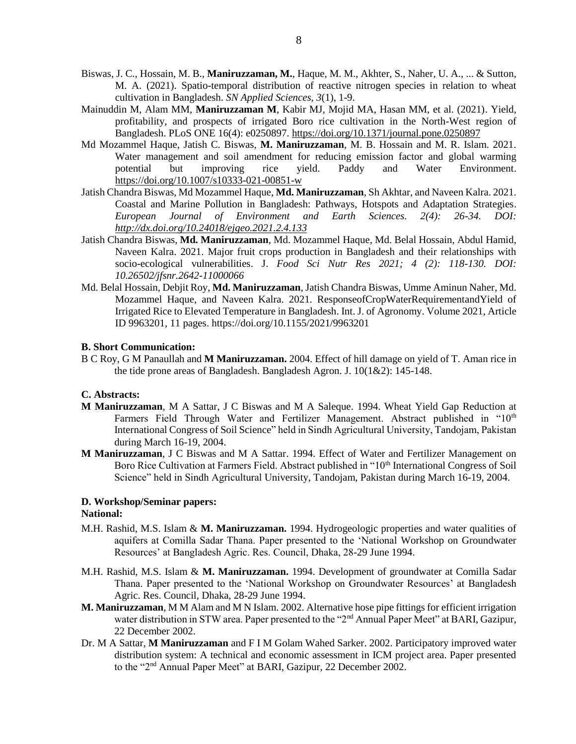- Biswas, J. C., Hossain, M. B., **Maniruzzaman, M.**, Haque, M. M., Akhter, S., Naher, U. A., ... & Sutton, M. A. (2021). Spatio-temporal distribution of reactive nitrogen species in relation to wheat cultivation in Bangladesh. *SN Applied Sciences*, *3*(1), 1-9.
- Mainuddin M, Alam MM, **Maniruzzaman M**, Kabir MJ, Mojid MA, Hasan MM, et al. (2021). Yield, profitability, and prospects of irrigated Boro rice cultivation in the North-West region of Bangladesh. PLoS ONE 16(4): e0250897.<https://doi.org/10.1371/journal.pone.0250897>
- Md Mozammel Haque, Jatish C. Biswas, **M. Maniruzzaman**, M. B. Hossain and M. R. Islam. 2021. Water management and soil amendment for reducing emission factor and global warming potential but improving rice yield. Paddy and Water Environment. <https://doi.org/10.1007/s10333-021-00851-w>
- Jatish Chandra Biswas, Md Mozammel Haque, **Md. Maniruzzaman**, Sh Akhtar, and Naveen Kalra. 2021. Coastal and Marine Pollution in Bangladesh: Pathways, Hotspots and Adaptation Strategies. *European Journal of Environment and Earth Sciences. 2(4): 26-34. DOI: <http://dx.doi.org/10.24018/ejgeo.2021.2.4.133>*
- Jatish Chandra Biswas, **Md. Maniruzzaman**, Md. Mozammel Haque, Md. Belal Hossain, Abdul Hamid, Naveen Kalra. 2021. Major fruit crops production in Bangladesh and their relationships with socio-ecological vulnerabilities. J. *Food Sci Nutr Res 2021; 4 (2): 118-130. DOI: 10.26502/jfsnr.2642-11000066*
- Md. Belal Hossain, Debjit Roy, **Md. Maniruzzaman**, Jatish Chandra Biswas, Umme Aminun Naher, Md. Mozammel Haque, and Naveen Kalra. 2021. ResponseofCropWaterRequirementandYield of Irrigated Rice to Elevated Temperature in Bangladesh. Int. J. of Agronomy. Volume 2021, Article ID 9963201, 11 pages. https://doi.org/10.1155/2021/9963201

#### **B. Short Communication:**

B C Roy, G M Panaullah and **M Maniruzzaman.** 2004. Effect of hill damage on yield of T. Aman rice in the tide prone areas of Bangladesh. Bangladesh Agron. J. 10(1&2): 145-148.

#### **C. Abstracts:**

- **M Maniruzzaman**, M A Sattar, J C Biswas and M A Saleque. 1994. Wheat Yield Gap Reduction at Farmers Field Through Water and Fertilizer Management. Abstract published in "10<sup>th</sup> International Congress of Soil Science" held in Sindh Agricultural University, Tandojam, Pakistan during March 16-19, 2004.
- **M Maniruzzaman**, J C Biswas and M A Sattar. 1994. Effect of Water and Fertilizer Management on Boro Rice Cultivation at Farmers Field. Abstract published in "10<sup>th</sup> International Congress of Soil Science" held in Sindh Agricultural University, Tandojam, Pakistan during March 16-19, 2004.

### **D. Workshop/Seminar papers:**

### **National:**

- M.H. Rashid, M.S. Islam & **M. Maniruzzaman.** 1994. Hydrogeologic properties and water qualities of aquifers at Comilla Sadar Thana. Paper presented to the 'National Workshop on Groundwater Resources' at Bangladesh Agric. Res. Council, Dhaka, 28-29 June 1994.
- M.H. Rashid, M.S. Islam & **M. Maniruzzaman.** 1994. Development of groundwater at Comilla Sadar Thana. Paper presented to the 'National Workshop on Groundwater Resources' at Bangladesh Agric. Res. Council, Dhaka, 28-29 June 1994.
- **M. Maniruzzaman**, M M Alam and M N Islam. 2002. Alternative hose pipe fittings for efficient irrigation water distribution in STW area. Paper presented to the "2<sup>nd</sup> Annual Paper Meet" at BARI, Gazipur, 22 December 2002.
- Dr. M A Sattar, **M Maniruzzaman** and F I M Golam Wahed Sarker. 2002. Participatory improved water distribution system: A technical and economic assessment in ICM project area. Paper presented to the "2<sup>nd</sup> Annual Paper Meet" at BARI, Gazipur, 22 December 2002.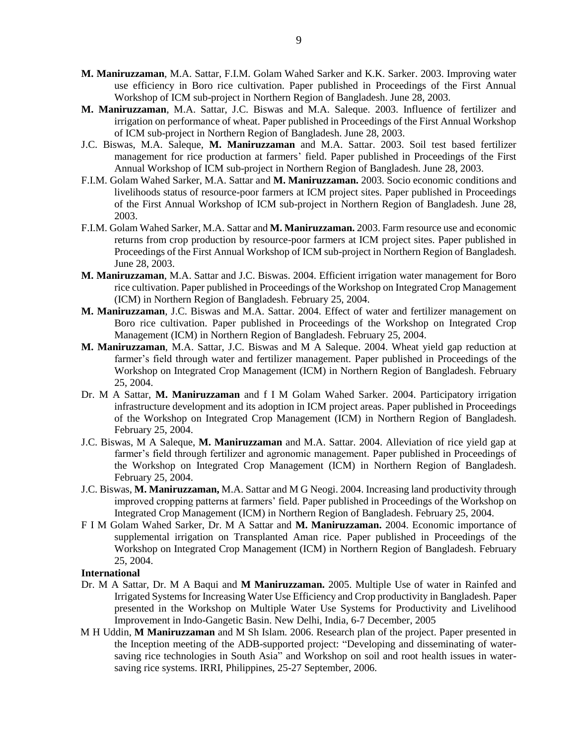- **M. Maniruzzaman**, M.A. Sattar, F.I.M. Golam Wahed Sarker and K.K. Sarker. 2003. Improving water use efficiency in Boro rice cultivation. Paper published in Proceedings of the First Annual Workshop of ICM sub-project in Northern Region of Bangladesh. June 28, 2003.
- **M. Maniruzzaman**, M.A. Sattar, J.C. Biswas and M.A. Saleque. 2003. Influence of fertilizer and irrigation on performance of wheat. Paper published in Proceedings of the First Annual Workshop of ICM sub-project in Northern Region of Bangladesh. June 28, 2003.
- J.C. Biswas, M.A. Saleque, **M. Maniruzzaman** and M.A. Sattar. 2003. Soil test based fertilizer management for rice production at farmers' field. Paper published in Proceedings of the First Annual Workshop of ICM sub-project in Northern Region of Bangladesh. June 28, 2003.
- F.I.M. Golam Wahed Sarker, M.A. Sattar and **M. Maniruzzaman.** 2003. Socio economic conditions and livelihoods status of resource-poor farmers at ICM project sites. Paper published in Proceedings of the First Annual Workshop of ICM sub-project in Northern Region of Bangladesh. June 28, 2003.
- F.I.M. Golam Wahed Sarker, M.A. Sattar and **M. Maniruzzaman.** 2003. Farm resource use and economic returns from crop production by resource-poor farmers at ICM project sites. Paper published in Proceedings of the First Annual Workshop of ICM sub-project in Northern Region of Bangladesh. June 28, 2003.
- **M. Maniruzzaman**, M.A. Sattar and J.C. Biswas. 2004. Efficient irrigation water management for Boro rice cultivation. Paper published in Proceedings of the Workshop on Integrated Crop Management (ICM) in Northern Region of Bangladesh. February 25, 2004.
- **M. Maniruzzaman**, J.C. Biswas and M.A. Sattar. 2004. Effect of water and fertilizer management on Boro rice cultivation. Paper published in Proceedings of the Workshop on Integrated Crop Management (ICM) in Northern Region of Bangladesh. February 25, 2004.
- **M. Maniruzzaman**, M.A. Sattar, J.C. Biswas and M A Saleque. 2004. Wheat yield gap reduction at farmer's field through water and fertilizer management. Paper published in Proceedings of the Workshop on Integrated Crop Management (ICM) in Northern Region of Bangladesh. February 25, 2004.
- Dr. M A Sattar, **M. Maniruzzaman** and f I M Golam Wahed Sarker. 2004. Participatory irrigation infrastructure development and its adoption in ICM project areas. Paper published in Proceedings of the Workshop on Integrated Crop Management (ICM) in Northern Region of Bangladesh. February 25, 2004.
- J.C. Biswas, M A Saleque, **M. Maniruzzaman** and M.A. Sattar. 2004. Alleviation of rice yield gap at farmer's field through fertilizer and agronomic management. Paper published in Proceedings of the Workshop on Integrated Crop Management (ICM) in Northern Region of Bangladesh. February 25, 2004.
- J.C. Biswas, **M. Maniruzzaman,** M.A. Sattar and M G Neogi. 2004. Increasing land productivity through improved cropping patterns at farmers' field. Paper published in Proceedings of the Workshop on Integrated Crop Management (ICM) in Northern Region of Bangladesh. February 25, 2004.
- F I M Golam Wahed Sarker, Dr. M A Sattar and **M. Maniruzzaman.** 2004. Economic importance of supplemental irrigation on Transplanted Aman rice. Paper published in Proceedings of the Workshop on Integrated Crop Management (ICM) in Northern Region of Bangladesh. February 25, 2004.

#### **International**

- Dr. M A Sattar, Dr. M A Baqui and **M Maniruzzaman.** 2005. Multiple Use of water in Rainfed and Irrigated Systems for Increasing Water Use Efficiency and Crop productivity in Bangladesh. Paper presented in the Workshop on Multiple Water Use Systems for Productivity and Livelihood Improvement in Indo-Gangetic Basin. New Delhi, India, 6-7 December, 2005
- M H Uddin, **M Maniruzzaman** and M Sh Islam. 2006. Research plan of the project. Paper presented in the Inception meeting of the ADB-supported project: "Developing and disseminating of watersaving rice technologies in South Asia" and Workshop on soil and root health issues in watersaving rice systems. IRRI, Philippines, 25-27 September, 2006.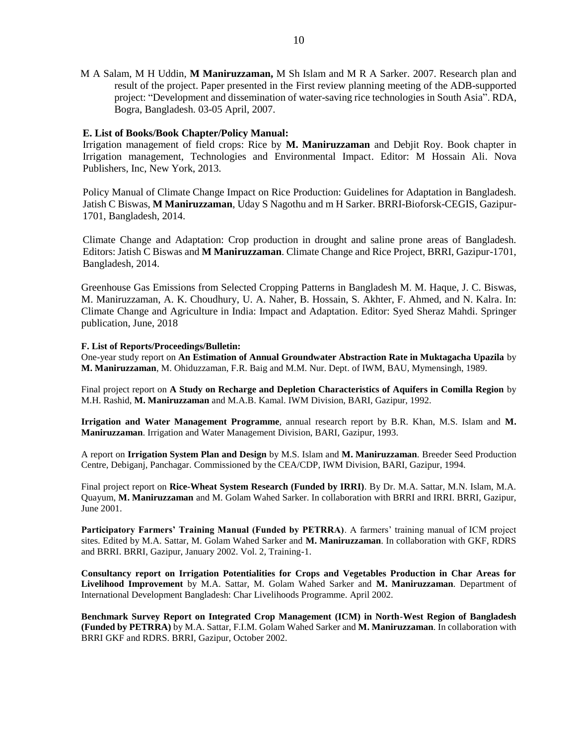M A Salam, M H Uddin, **M Maniruzzaman,** M Sh Islam and M R A Sarker. 2007. Research plan and result of the project. Paper presented in the First review planning meeting of the ADB-supported project: "Development and dissemination of water-saving rice technologies in South Asia". RDA, Bogra, Bangladesh. 03-05 April, 2007.

#### **E. List of Books/Book Chapter/Policy Manual:**

Irrigation management of field crops: Rice by **M. Maniruzzaman** and Debjit Roy. Book chapter in Irrigation management, Technologies and Environmental Impact. Editor: M Hossain Ali. Nova Publishers, Inc, New York, 2013.

Policy Manual of Climate Change Impact on Rice Production: Guidelines for Adaptation in Bangladesh. Jatish C Biswas, **M Maniruzzaman**, Uday S Nagothu and m H Sarker. BRRI-Bioforsk-CEGIS, Gazipur-1701, Bangladesh, 2014.

Climate Change and Adaptation: Crop production in drought and saline prone areas of Bangladesh. Editors: Jatish C Biswas and **M Maniruzzaman**. Climate Change and Rice Project, BRRI, Gazipur-1701, Bangladesh, 2014.

Greenhouse Gas Emissions from Selected Cropping Patterns in Bangladesh M. M. Haque, J. C. Biswas, M. Maniruzzaman, A. K. Choudhury, U. A. Naher, B. Hossain, S. Akhter, F. Ahmed, and N. Kalra. In: Climate Change and Agriculture in India: Impact and Adaptation. Editor: Syed Sheraz Mahdi. Springer publication, June, 2018

#### **F. List of Reports/Proceedings/Bulletin:**

One-year study report on **An Estimation of Annual Groundwater Abstraction Rate in Muktagacha Upazila** by **M. Maniruzzaman**, M. Ohiduzzaman, F.R. Baig and M.M. Nur. Dept. of IWM, BAU, Mymensingh, 1989.

Final project report on **A Study on Recharge and Depletion Characteristics of Aquifers in Comilla Region** by M.H. Rashid, **M. Maniruzzaman** and M.A.B. Kamal. IWM Division, BARI, Gazipur, 1992.

**Irrigation and Water Management Programme**, annual research report by B.R. Khan, M.S. Islam and **M. Maniruzzaman**. Irrigation and Water Management Division, BARI, Gazipur, 1993.

A report on **Irrigation System Plan and Design** by M.S. Islam and **M. Maniruzzaman**. Breeder Seed Production Centre, Debiganj, Panchagar. Commissioned by the CEA/CDP, IWM Division, BARI, Gazipur, 1994.

Final project report on **Rice-Wheat System Research (Funded by IRRI)**. By Dr. M.A. Sattar, M.N. Islam, M.A. Quayum, **M. Maniruzzaman** and M. Golam Wahed Sarker. In collaboration with BRRI and IRRI. BRRI, Gazipur, June 2001.

**Participatory Farmers' Training Manual (Funded by PETRRA)**. A farmers' training manual of ICM project sites. Edited by M.A. Sattar, M. Golam Wahed Sarker and **M. Maniruzzaman**. In collaboration with GKF, RDRS and BRRI. BRRI, Gazipur, January 2002. Vol. 2, Training-1.

**Consultancy report on Irrigation Potentialities for Crops and Vegetables Production in Char Areas for Livelihood Improvement** by M.A. Sattar, M. Golam Wahed Sarker and **M. Maniruzzaman**. Department of International Development Bangladesh: Char Livelihoods Programme. April 2002.

**Benchmark Survey Report on Integrated Crop Management (ICM) in North-West Region of Bangladesh (Funded by PETRRA)** by M.A. Sattar, F.I.M. Golam Wahed Sarker and **M. Maniruzzaman**. In collaboration with BRRI GKF and RDRS. BRRI, Gazipur, October 2002.